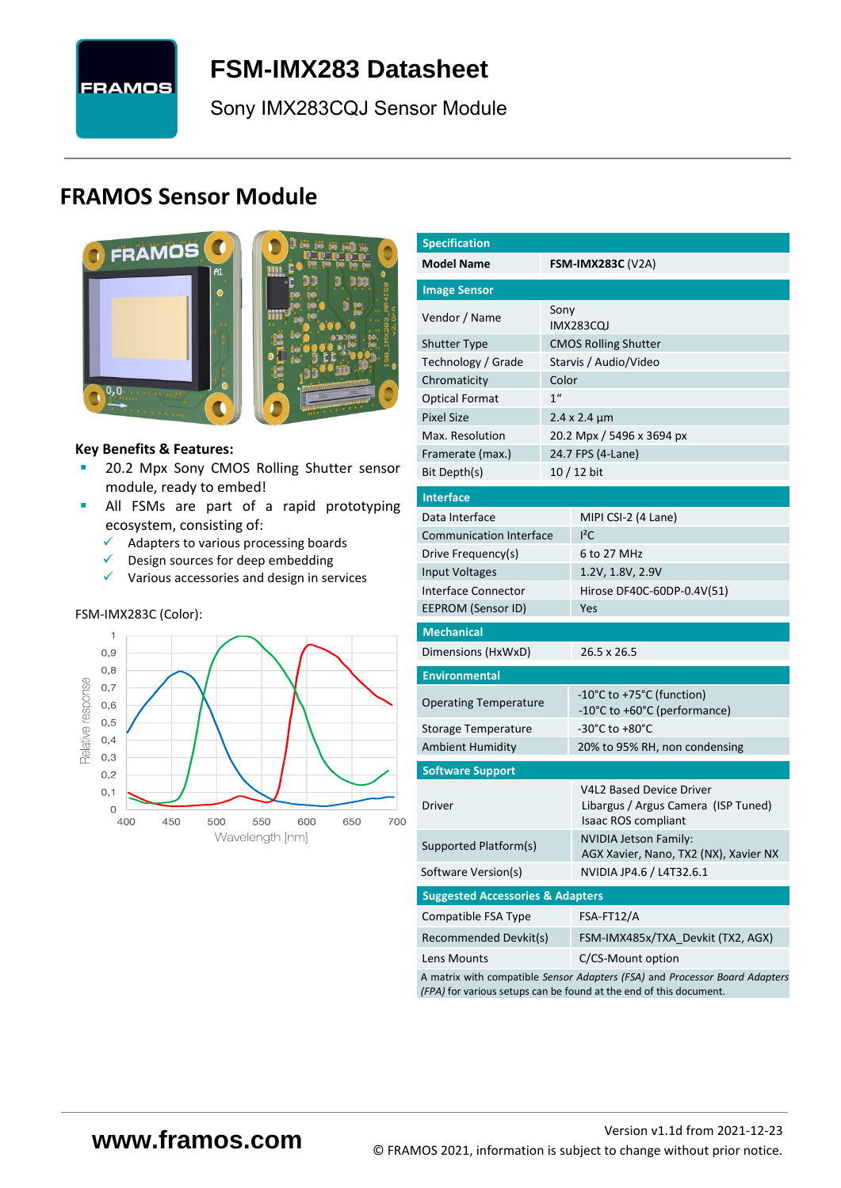

# <span id="page-0-7"></span>**FSM-IMX283 [Datasheet](#page-0-0)**

[Sony](#page-0-1) [IMX283CQJ](#page-0-2) Sensor Module

# **FRAMOS Sensor Module**



<span id="page-0-3"></span><span id="page-0-0"></span>

#### **Key Benefits & Features:**

- **[20.2](#page-0-4) Mpx [Sony](#page-0-1) [CMOS Rolling Shutter](#page-0-5) sensor** module, ready to embed!
- **E** All FSMs are part of a rapid prototyping ecosystem, consisting of:
	- ✓ Adapters to various processing boards
	- ✓ Design sources for deep embedding
	- ✓ Various accessories and design in services

#### FSM-IMX283C (Color):



<span id="page-0-6"></span><span id="page-0-5"></span><span id="page-0-4"></span><span id="page-0-2"></span><span id="page-0-1"></span>

| <b>Specification</b>                                                        |                 |                                                                                               |  |  |  |  |  |
|-----------------------------------------------------------------------------|-----------------|-----------------------------------------------------------------------------------------------|--|--|--|--|--|
| <b>Model Name</b><br><b>FSM-IMX283C</b> (V2A)                               |                 |                                                                                               |  |  |  |  |  |
| <b>Image Sensor</b>                                                         |                 |                                                                                               |  |  |  |  |  |
| Vendor / Name                                                               | Sony            | <b>IMX283CQJ</b>                                                                              |  |  |  |  |  |
| <b>Shutter Type</b>                                                         |                 | <b>CMOS Rolling Shutter</b>                                                                   |  |  |  |  |  |
| Technology / Grade                                                          |                 | Starvis / Audio/Video                                                                         |  |  |  |  |  |
| Chromaticity                                                                | Color           |                                                                                               |  |  |  |  |  |
| <b>Optical Format</b>                                                       | 1 <sup>''</sup> |                                                                                               |  |  |  |  |  |
| <b>Pixel Size</b>                                                           |                 | $2.4 \times 2.4 \mu m$                                                                        |  |  |  |  |  |
| Max. Resolution                                                             |                 | 20.2 Mpx / 5496 x 3694 px                                                                     |  |  |  |  |  |
| Framerate (max.)                                                            |                 | 24.7 FPS (4-Lane)                                                                             |  |  |  |  |  |
| Bit Depth(s)                                                                |                 | 10 / 12 bit                                                                                   |  |  |  |  |  |
| <b>Interface</b>                                                            |                 |                                                                                               |  |  |  |  |  |
| Data Interface                                                              |                 | MIPI CSI-2 (4 Lane)                                                                           |  |  |  |  |  |
| <b>Communication Interface</b>                                              |                 | $I^2C$                                                                                        |  |  |  |  |  |
| Drive Frequency(s)                                                          |                 | 6 to 27 MHz                                                                                   |  |  |  |  |  |
| <b>Input Voltages</b>                                                       |                 | 1.2V, 1.8V, 2.9V                                                                              |  |  |  |  |  |
| Interface Connector                                                         |                 | Hirose DF40C-60DP-0.4V(51)                                                                    |  |  |  |  |  |
| <b>EEPROM (Sensor ID)</b>                                                   |                 | Yes                                                                                           |  |  |  |  |  |
| <b>Mechanical</b>                                                           |                 |                                                                                               |  |  |  |  |  |
| Dimensions (HxWxD)                                                          |                 | 26.5 x 26.5                                                                                   |  |  |  |  |  |
| <b>Environmental</b>                                                        |                 |                                                                                               |  |  |  |  |  |
| <b>Operating Temperature</b>                                                |                 | -10°C to +75°C (function)                                                                     |  |  |  |  |  |
|                                                                             |                 | -10°C to +60°C (performance)                                                                  |  |  |  |  |  |
| Storage Temperature                                                         |                 | -30°C to +80°C                                                                                |  |  |  |  |  |
| <b>Ambient Humidity</b>                                                     |                 | 20% to 95% RH, non condensing                                                                 |  |  |  |  |  |
| <b>Software Support</b>                                                     |                 |                                                                                               |  |  |  |  |  |
| Driver                                                                      |                 | <b>V4L2 Based Device Driver</b><br>Libargus / Argus Camera (ISP Tuned)<br>Isaac ROS compliant |  |  |  |  |  |
| Supported Platform(s)                                                       |                 | <b>NVIDIA Jetson Family:</b><br>AGX Xavier, Nano, TX2 (NX), Xavier NX                         |  |  |  |  |  |
| Software Version(s)                                                         |                 | NVIDIA JP4.6 / L4T32.6.1                                                                      |  |  |  |  |  |
| <b>Suggested Accessories &amp; Adapters</b>                                 |                 |                                                                                               |  |  |  |  |  |
| Compatible FSA Type                                                         |                 | FSA-FT12/A                                                                                    |  |  |  |  |  |
| Recommended Devkit(s)                                                       |                 | FSM-IMX485x/TXA_Devkit (TX2, AGX)                                                             |  |  |  |  |  |
| Lens Mounts                                                                 |                 | C/CS-Mount option                                                                             |  |  |  |  |  |
| A matrix with compatible Sensor Adapters (FSA) and Processor Board Adapters |                 |                                                                                               |  |  |  |  |  |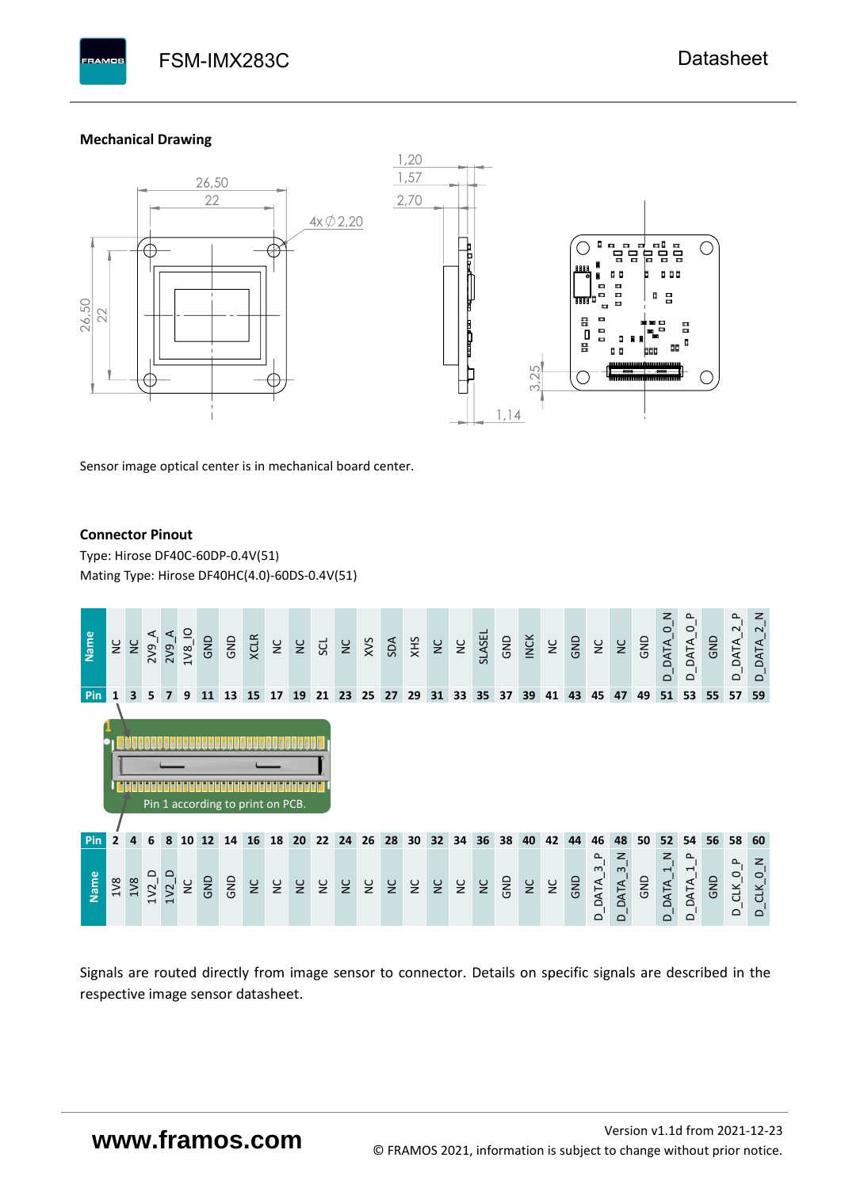FSM-IMX283C FSM-IMX283C [Datasheet](#page-0-0)

#### **Mechanical Drawing**

**PAMOS** 



Sensor image optical center is in mechanical board center.

#### **Connector Pinout**

Type: [Hirose DF40C-60DP-0.4V\(51](#page-0-6)[\)](#page-0-6)  Mating Type: Hirose DF40HC(4.0)-60DS-0.4V(51)



Signals are routed directly from image sensor to connector. Details on specific signals are described in the respective image sensor datasheet.

# **www.framos.com**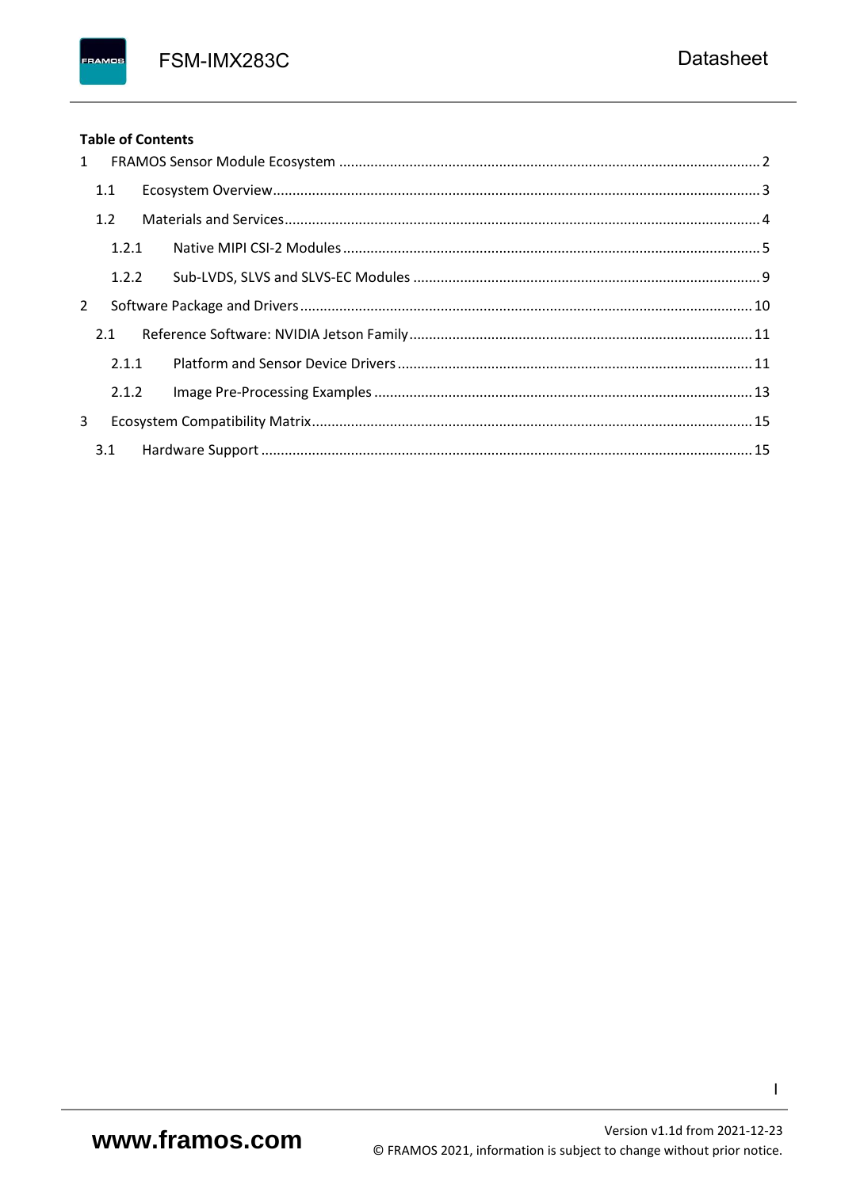FSM-IMX283C

## **Table of Contents**

FRAMOS

| 1              |       |  |
|----------------|-------|--|
|                | 1.1   |  |
|                | 1.2   |  |
|                | 1.2.1 |  |
|                | 1.2.2 |  |
| $\overline{2}$ |       |  |
|                | 2.1   |  |
|                | 2.1.1 |  |
|                | 2.1.2 |  |
| 3              |       |  |
|                | 3.1   |  |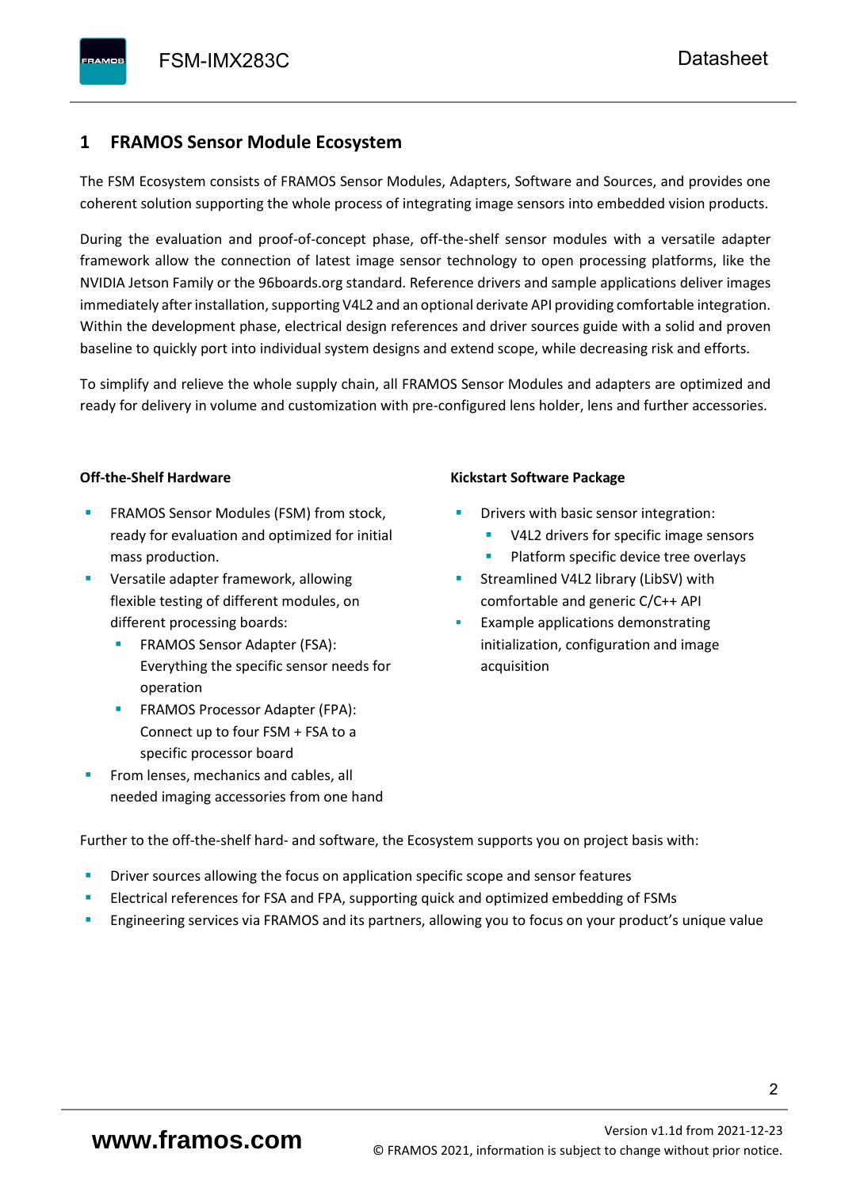# <span id="page-3-0"></span>**1 FRAMOS Sensor Module Ecosystem**

The FSM Ecosystem consists of FRAMOS Sensor Modules, Adapters, Software and Sources, and provides one coherent solution supporting the whole process of integrating image sensors into embedded vision products.

During the evaluation and proof-of-concept phase, off-the-shelf sensor modules with a versatile adapter framework allow the connection of latest image sensor technology to open processing platforms, like the NVIDIA Jetson Family or the 96boards.org standard. Reference drivers and sample applications deliver images immediately after installation, supporting V4L2 and an optional derivate API providing comfortable integration. Within the development phase, electrical design references and driver sources guide with a solid and proven baseline to quickly port into individual system designs and extend scope, while decreasing risk and efforts.

To simplify and relieve the whole supply chain, all FRAMOS Sensor Modules and adapters are optimized and ready for delivery in volume and customization with pre-configured lens holder, lens and further accessories.

#### **Off-the-Shelf Hardware**

- FRAMOS Sensor Modules (FSM) from stock, ready for evaluation and optimized for initial mass production.
- Versatile adapter framework, allowing flexible testing of different modules, on different processing boards:
	- FRAMOS Sensor Adapter (FSA): Everything the specific sensor needs for operation
	- FRAMOS Processor Adapter (FPA): Connect up to four FSM + FSA to a specific processor board
- From lenses, mechanics and cables, all needed imaging accessories from one hand

#### **Kickstart Software Package**

- Drivers with basic sensor integration:
	- V4L2 drivers for specific image sensors
	- Platform specific device tree overlays
- Streamlined V4L2 library (LibSV) with comfortable and generic C/C++ API
- Example applications demonstrating initialization, configuration and image acquisition

Further to the off-the-shelf hard- and software, the Ecosystem supports you on project basis with:

- Driver sources allowing the focus on application specific scope and sensor features
- Electrical references for FSA and FPA, supporting quick and optimized embedding of FSMs
- Engineering services via FRAMOS and its partners, allowing you to focus on your product's unique value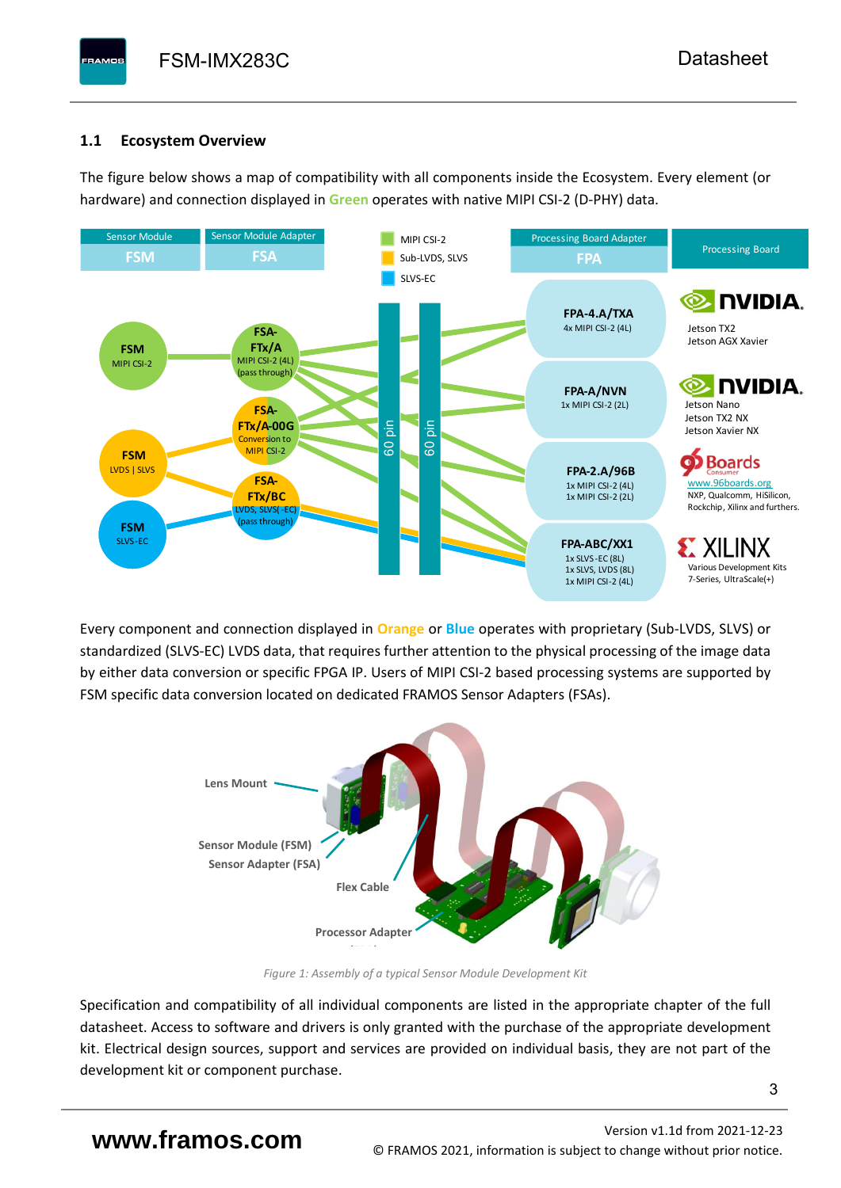# <span id="page-4-0"></span>**1.1 Ecosystem Overview**

**PAMOS** 

The figure below shows a map of compatibility with all components inside the Ecosystem. Every element (or hardware) and connection displayed in **Green** operates with native MIPI CSI-2 (D-PHY) data.



Every component and connection displayed in **Orange** or **Blue** operates with proprietary (Sub-LVDS, SLVS) or standardized (SLVS-EC) LVDS data, that requires further attention to the physical processing of the image data by either data conversion or specific FPGA IP. Users of MIPI CSI-2 based processing systems are supported by FSM specific data conversion located on dedicated FRAMOS Sensor Adapters (FSAs).



*Figure 1: Assembly of a typical Sensor Module Development Kit*

Specification and compatibility of all individual components are listed in the appropriate chapter of the full datasheet. Access to software and drivers is only granted with the purchase of the appropriate development kit. Electrical design sources, support and services are provided on individual basis, they are not part of the development kit or component purchase.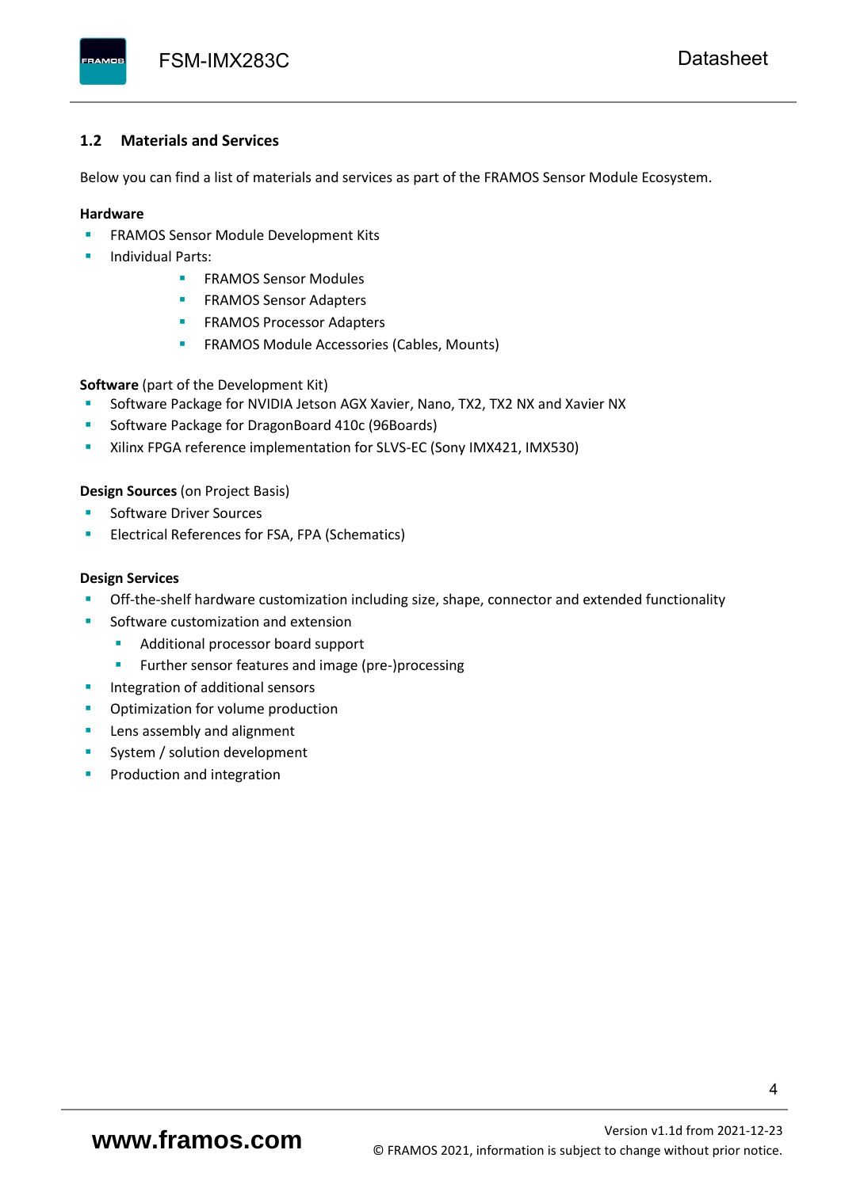#### <span id="page-5-0"></span>**1.2 Materials and Services**

Below you can find a list of materials and services as part of the FRAMOS Sensor Module Ecosystem.

#### **Hardware**

- **EXECTED FRAMOS Sensor Module Development Kits**
- **Individual Parts:** 
	- FRAMOS Sensor Modules
	- **FRAMOS Sensor Adapters**
	- **EXAMOS Processor Adapters**
	- **EXECTED** FRAMOS Module Accessories (Cables, Mounts)

**Software** (part of the Development Kit)

- Software Package for NVIDIA Jetson AGX Xavier, Nano, TX2, TX2 NX and Xavier NX
- Software Package for DragonBoard 410c (96Boards)
- **E** Xilinx FPGA reference implementation for SLVS-EC (Sony IMX421, IMX530)

#### **Design Sources** (on Project Basis)

- Software Driver Sources
- Electrical References for FSA, FPA (Schematics)

#### **Design Services**

- Off-the-shelf hardware customization including size, shape, connector and extended functionality
- Software customization and extension
	- Additional processor board support
	- Further sensor features and image (pre-)processing
- **■** Integration of additional sensors
- Optimization for volume production
- Lens assembly and alignment
- System / solution development
- Production and integration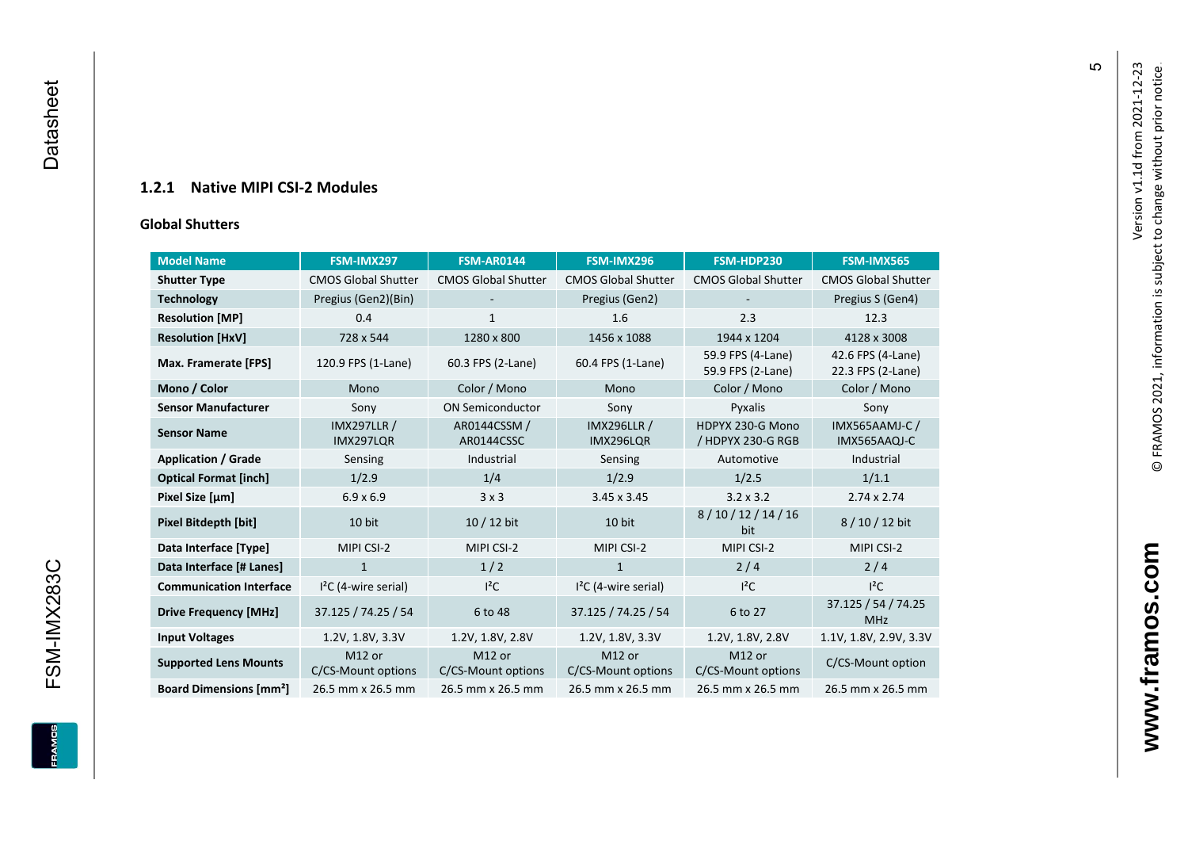## **1.2.1 Native MIPI CSI - 2 Modules**

#### **[Global Shu](#page-0-7)tters**

<span id="page-6-0"></span>

| <b>Model Name</b>                        | FSM-IMX297                      | <b>FSM-AR0144</b>            | FSM-IMX296                      | FSM-HDP230                             | <b>FSM-IMX565</b>                      |
|------------------------------------------|---------------------------------|------------------------------|---------------------------------|----------------------------------------|----------------------------------------|
| <b>Shutter Type</b>                      | <b>CMOS Global Shutter</b>      | <b>CMOS Global Shutter</b>   | <b>CMOS Global Shutter</b>      | <b>CMOS Global Shutter</b>             | <b>CMOS Global Shutter</b>             |
| <b>Technology</b>                        | Pregius (Gen2)(Bin)             |                              | Pregius (Gen2)                  |                                        | Pregius S (Gen4)                       |
| <b>Resolution [MP]</b>                   | 0.4                             | 1                            | 1.6                             | 2.3                                    | 12.3                                   |
| <b>Resolution [HxV]</b>                  | 728 x 544                       | 1280 x 800                   | 1456 x 1088                     | 1944 x 1204                            | 4128 x 3008                            |
| Max. Framerate [FPS]                     | 120.9 FPS (1-Lane)              | 60.3 FPS (2-Lane)            | 60.4 FPS (1-Lane)               | 59.9 FPS (4-Lane)<br>59.9 FPS (2-Lane) | 42.6 FPS (4-Lane)<br>22.3 FPS (2-Lane) |
| Mono / Color                             | Mono                            | Color / Mono                 | Mono                            | Color / Mono                           | Color / Mono                           |
| <b>Sensor Manufacturer</b>               | Sony                            | <b>ON Semiconductor</b>      | Sony                            | Pyxalis                                | Sony                                   |
| <b>Sensor Name</b>                       | <b>IMX297LLR /</b><br>IMX297LQR | AR0144CSSM /<br>AR0144CSSC   | <b>IMX296LLR /</b><br>IMX296LQR | HDPYX 230-G Mono<br>/ HDPYX 230-G RGB  | IMX565AAMJ-C /<br>IMX565AAQJ-C         |
| <b>Application / Grade</b>               | Sensing                         | Industrial                   | Sensing                         | Automotive                             | Industrial                             |
| <b>Optical Format [inch]</b>             | 1/2.9                           | 1/4                          | 1/2.9                           | 1/2.5                                  | 1/1.1                                  |
| Pixel Size [µm]                          | $6.9 \times 6.9$                | 3x3                          | 3.45 x 3.45                     | $3.2 \times 3.2$                       | $2.74 \times 2.74$                     |
| <b>Pixel Bitdepth [bit]</b>              | 10 bit                          | 10 / 12 bit                  | 10 bit                          | 8/10/12/14/16<br>bit                   | 8/10/12 bit                            |
| Data Interface [Type]                    | MIPI CSI-2                      | MIPI CSI-2                   | MIPI CSI-2                      | MIPI CSI-2                             | MIPI CSI-2                             |
| Data Interface [# Lanes]                 | $\mathbf{1}$                    | 1/2                          | $\mathbf{1}$                    | 2/4                                    | 2/4                                    |
| <b>Communication Interface</b>           | $I2C$ (4-wire serial)           | $l^2C$                       | $I2C$ (4-wire serial)           | $l^2C$                                 | $I^2C$                                 |
| <b>Drive Frequency [MHz]</b>             | 37.125 / 74.25 / 54             | 6 to 48                      | 37.125 / 74.25 / 54             | 6 to 27                                | 37.125 / 54 / 74.25<br><b>MHz</b>      |
| <b>Input Voltages</b>                    | 1.2V, 1.8V, 3.3V                | 1.2V, 1.8V, 2.8V             | 1.2V, 1.8V, 3.3V                | 1.2V, 1.8V, 2.8V                       | 1.1V, 1.8V, 2.9V, 3.3V                 |
| <b>Supported Lens Mounts</b>             | M12 or<br>C/CS-Mount options    | M12 or<br>C/CS-Mount options | M12 or<br>C/CS-Mount options    | M12 or<br>C/CS-Mount options           | C/CS-Mount option                      |
| <b>Board Dimensions [mm<sup>2</sup>]</b> | 26.5 mm x 26.5 mm               | 26.5 mm x 26.5 mm            | 26.5 mm x 26.5 mm               | 26.5 mm x 26.5 mm                      | 26.5 mm x 26.5 mm                      |

 $\mathfrak{g}$ 

www.framos.com **www.framos.com**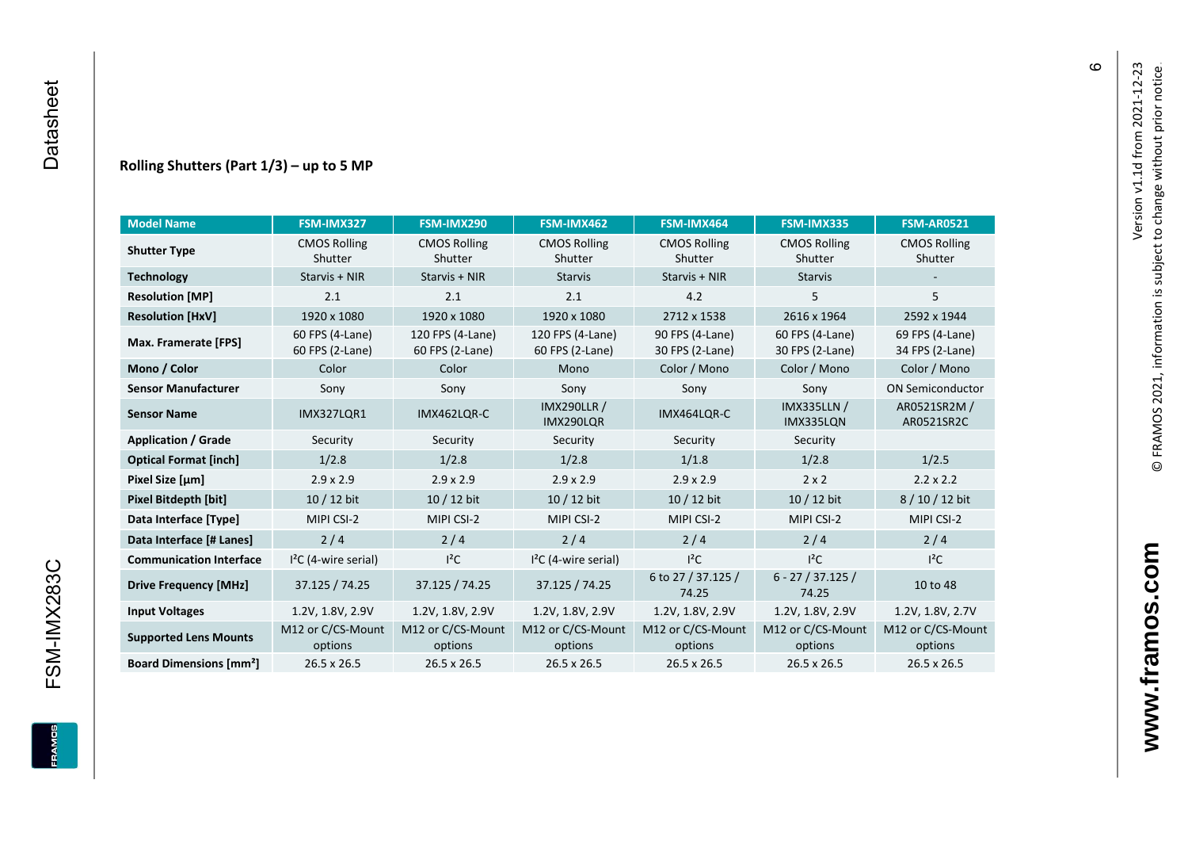#### **Rolling Shutters (Part 1/ 3 ) – up to 5 MP**

| <b>Model Name</b>                                     | FSM-IMX327                         | FSM-IMX290                          | FSM-IMX462                           | FSM-IMX464                         | FSM-IMX335                         | <b>FSM-AR0521</b>              |
|-------------------------------------------------------|------------------------------------|-------------------------------------|--------------------------------------|------------------------------------|------------------------------------|--------------------------------|
| <b>CMOS Rolling</b><br><b>Shutter Type</b><br>Shutter |                                    | <b>CMOS Rolling</b><br>Shutter      | <b>CMOS Rolling</b><br>Shutter       | <b>CMOS Rolling</b><br>Shutter     | <b>CMOS Rolling</b><br>Shutter     | <b>CMOS Rolling</b><br>Shutter |
| <b>Technology</b>                                     | Starvis + NIR                      | Starvis + NIR                       | <b>Starvis</b>                       | Starvis + NIR                      | <b>Starvis</b>                     |                                |
| <b>Resolution [MP]</b>                                | 2.1                                | 2.1                                 | 2.1                                  | 4.2                                | 5                                  | 5                              |
| <b>Resolution [HxV]</b>                               | 1920 x 1080                        | 1920 x 1080                         | 1920 x 1080                          | 2712 x 1538                        | 2616 x 1964                        | 2592 x 1944                    |
| Max. Framerate [FPS]                                  | 60 FPS (4-Lane)<br>60 FPS (2-Lane) | 120 FPS (4-Lane)<br>60 FPS (2-Lane) | 120 FPS (4-Lane)<br>60 FPS (2-Lane)  | 90 FPS (4-Lane)<br>30 FPS (2-Lane) | 60 FPS (4-Lane)<br>30 FPS (2-Lane) |                                |
| Mono / Color                                          | Color                              | Color                               | Mono                                 | Color / Mono                       | Color / Mono                       | Color / Mono                   |
| <b>Sensor Manufacturer</b>                            | Sony                               | Sony                                | Sony                                 | Sony                               | Sony                               | <b>ON Semiconductor</b>        |
| <b>Sensor Name</b>                                    | <b>IMX327LOR1</b>                  | IMX462LOR-C                         | <b>IMX290LLR /</b><br>IMX290LQR      | IMX464LQR-C                        | <b>IMX335LLN /</b><br>IMX335LQN    | AR0521SR2M /<br>AR0521SR2C     |
| <b>Application / Grade</b>                            | Security                           | Security                            | Security<br>Security                 |                                    | Security                           |                                |
| <b>Optical Format [inch]</b>                          | 1/2.8                              | 1/2.8                               | 1/2.8                                | 1/1.8                              |                                    | 1/2.5                          |
| Pixel Size [µm]                                       | $2.9 \times 2.9$                   | $2.9 \times 2.9$                    | $2.9 \times 2.9$<br>$2.9 \times 2.9$ |                                    | $2 \times 2$                       | $2.2 \times 2.2$               |
| <b>Pixel Bitdepth [bit]</b>                           | 10 / 12 bit                        | 10 / 12 bit                         | 10 / 12 bit                          | 10 / 12 bit                        | 10 / 12 bit                        | 8/10/12 bit                    |
| Data Interface [Type]                                 | MIPI CSI-2                         | MIPI CSI-2                          | MIPI CSI-2                           | MIPI CSI-2                         | MIPI CSI-2                         | MIPI CSI-2                     |
| Data Interface [# Lanes]                              | 2/4                                | 2/4                                 | 2/4                                  | 2/4                                | 2/4                                | 2/4                            |
| <b>Communication Interface</b>                        | $I2C$ (4-wire serial)              | $l^2C$                              | $I2C$ (4-wire serial)                | $I^2C$                             | $l^2C$                             | $l^2C$                         |
| <b>Drive Frequency [MHz]</b>                          | 37.125 / 74.25<br>37.125 / 74.25   |                                     | 37.125 / 74.25                       | 6 to 27 / 37.125 /<br>74.25        | $6 - 27 / 37.125 /$<br>74.25       | 10 to 48                       |
| <b>Input Voltages</b>                                 | 1.2V, 1.8V, 2.9V                   | 1.2V, 1.8V, 2.9V                    | 1.2V, 1.8V, 2.9V                     | 1.2V, 1.8V, 2.9V                   | 1.2V, 1.8V, 2.9V                   | 1.2V, 1.8V, 2.7V               |
| <b>Supported Lens Mounts</b>                          | M12 or C/CS-Mount<br>options       | M12 or C/CS-Mount<br>options        | M12 or C/CS-Mount<br>options         | M12 or C/CS-Mount<br>options       | M12 or C/CS-Mount<br>options       | M12 or C/CS-Mount<br>options   |
| <b>Board Dimensions [mm<sup>2</sup>]</b>              | $26.5 \times 26.5$                 | $26.5 \times 26.5$                  | 26.5 x 26.5                          | $26.5 \times 26.5$                 | 26.5 x 26.5                        | 26.5 x 26.5                    |

 $\pmb{\circ}$ 

**www.framos.com**

www.framos.com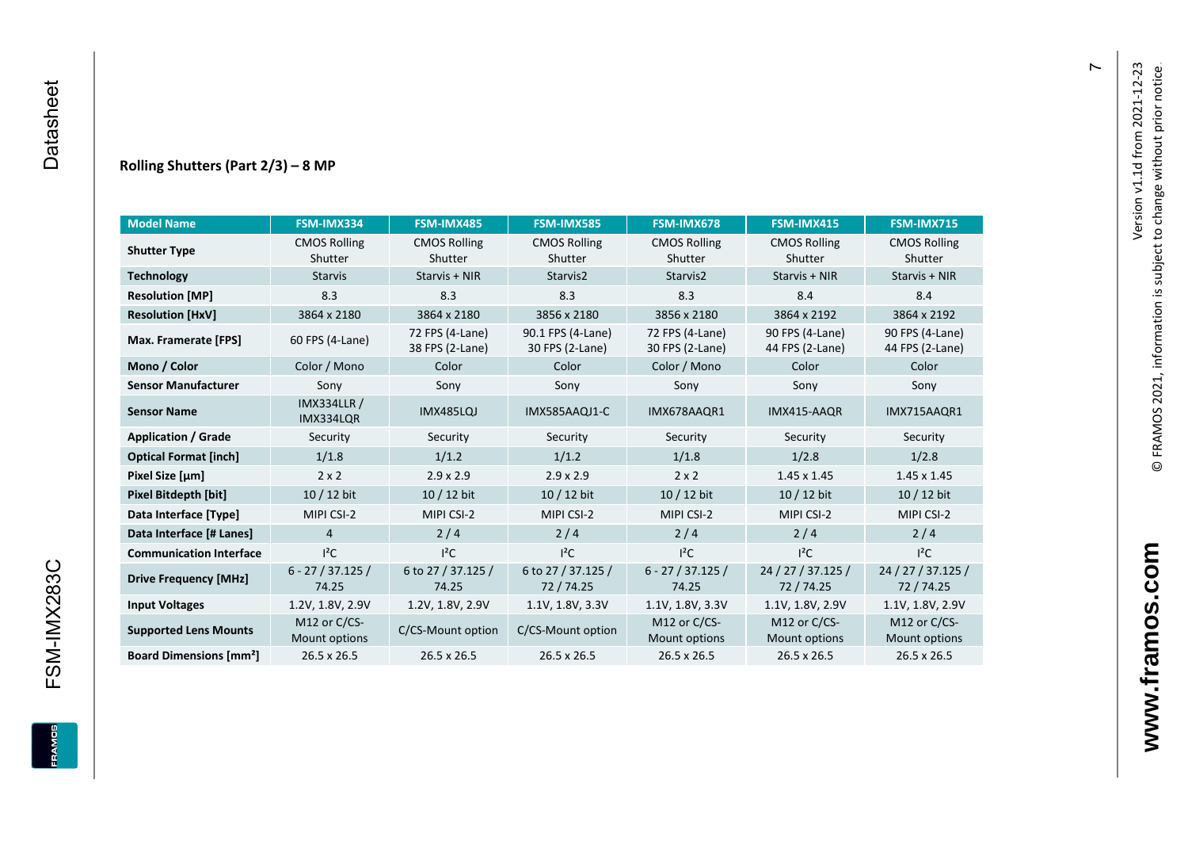#### **Rolling Shutters (Part 2/ 3 ) – 8 MP**

| <b>Model Name</b>                                     | FSM-IMX334                      | FSM-IMX485                         | <b>FSM-IMX585</b>                    | FSM-IMX678                         | <b>FSM-IMX415</b>                  | <b>FSM-IMX715</b>                  |
|-------------------------------------------------------|---------------------------------|------------------------------------|--------------------------------------|------------------------------------|------------------------------------|------------------------------------|
| <b>CMOS Rolling</b><br><b>Shutter Type</b><br>Shutter |                                 | <b>CMOS Rolling</b><br>Shutter     | <b>CMOS Rolling</b><br>Shutter       | <b>CMOS Rolling</b><br>Shutter     | <b>CMOS Rolling</b><br>Shutter     | <b>CMOS Rolling</b><br>Shutter     |
| <b>Technology</b>                                     | <b>Starvis</b>                  | Starvis + NIR                      | Starvis2                             | Starvis2                           | Starvis + NIR                      | Starvis + NIR                      |
| <b>Resolution [MP]</b>                                | 8.3                             | 8.3                                | 8.3                                  | 8.3                                | 8.4                                | 8.4                                |
| <b>Resolution [HxV]</b>                               | 3864 x 2180                     | 3864 x 2180                        | 3856 x 2180                          | 3856 x 2180                        | 3864 x 2192                        | 3864 x 2192                        |
| Max. Framerate [FPS]                                  | 60 FPS (4-Lane)                 | 72 FPS (4-Lane)<br>38 FPS (2-Lane) | 90.1 FPS (4-Lane)<br>30 FPS (2-Lane) | 72 FPS (4-Lane)<br>30 FPS (2-Lane) | 90 FPS (4-Lane)<br>44 FPS (2-Lane) | 90 FPS (4-Lane)<br>44 FPS (2-Lane) |
| Mono / Color                                          | Color / Mono                    | Color                              | Color                                | Color / Mono                       | Color                              | Color                              |
| <b>Sensor Manufacturer</b>                            | Sony                            | Sony                               | Sony                                 | Sony                               | Sony                               | Sony                               |
| <b>Sensor Name</b>                                    | <b>IMX334LLR /</b><br>IMX334LQR | <b>IMX485LQJ</b>                   | IMX585AAQJ1-C                        | IMX678AAQR1                        | IMX415-AAQR                        | IMX715AAQR1                        |
| <b>Application / Grade</b>                            | Security                        | Security                           | Security                             | Security                           | Security                           | Security                           |
| <b>Optical Format [inch]</b>                          | 1/1.8                           | 1/1.2                              | 1/1.2                                | 1/1.8                              |                                    | 1/2.8                              |
| Pixel Size [µm]                                       | $2 \times 2$                    | $2.9 \times 2.9$                   | $2.9 \times 2.9$                     | $2 \times 2$                       | $1.45 \times 1.45$                 | $1.45 \times 1.45$                 |
| <b>Pixel Bitdepth [bit]</b>                           | $10/12$ bit                     | 10 / 12 bit                        | 10 / 12 bit                          | $10/12$ bit                        | 10 / 12 bit                        | $10/12$ bit                        |
| Data Interface [Type]                                 | MIPI CSI-2                      | MIPI CSI-2                         | MIPI CSI-2                           | MIPI CSI-2                         | MIPI CSI-2                         | MIPI CSI-2                         |
| Data Interface [# Lanes]                              | $\overline{4}$                  | 2/4                                | 2/4                                  | 2/4                                | 2/4                                | 2/4                                |
| <b>Communication Interface</b>                        | $I^2C$                          | $I^2C$                             | $I^2C$                               | $I^2C$                             | $I^2C$                             | $I^2C$                             |
| <b>Drive Frequency [MHz]</b>                          | $6 - 27 / 37.125 /$<br>74.25    | 6 to 27 / 37.125 /<br>74.25        | 6 to 27 / 37.125 /<br>72/74.25       | $6 - 27 / 37.125 /$<br>74.25       | 24 / 27 / 37.125 /<br>72 / 74.25   | 24 / 27 / 37.125 /<br>72 / 74.25   |
| <b>Input Voltages</b>                                 | 1.2V, 1.8V, 2.9V                | 1.2V, 1.8V, 2.9V                   | 1.1V, 1.8V, 3.3V                     | 1.1V, 1.8V, 3.3V                   | 1.1V, 1.8V, 2.9V                   | 1.1V, 1.8V, 2.9V                   |
| <b>Supported Lens Mounts</b>                          | M12 or C/CS-<br>Mount options   | C/CS-Mount option                  | C/CS-Mount option                    | M12 or C/CS-<br>Mount options      | M12 or C/CS-<br>Mount options      | M12 or C/CS-<br>Mount options      |
| <b>Board Dimensions [mm<sup>2</sup>]</b>              | 26.5 x 26.5                     | $26.5 \times 26.5$                 | 26.5 x 26.5                          | $26.5 \times 26.5$                 | 26.5 x 26.5                        | 26.5 x 26.5                        |

 $\overline{r}$ 

FSM-IMX283C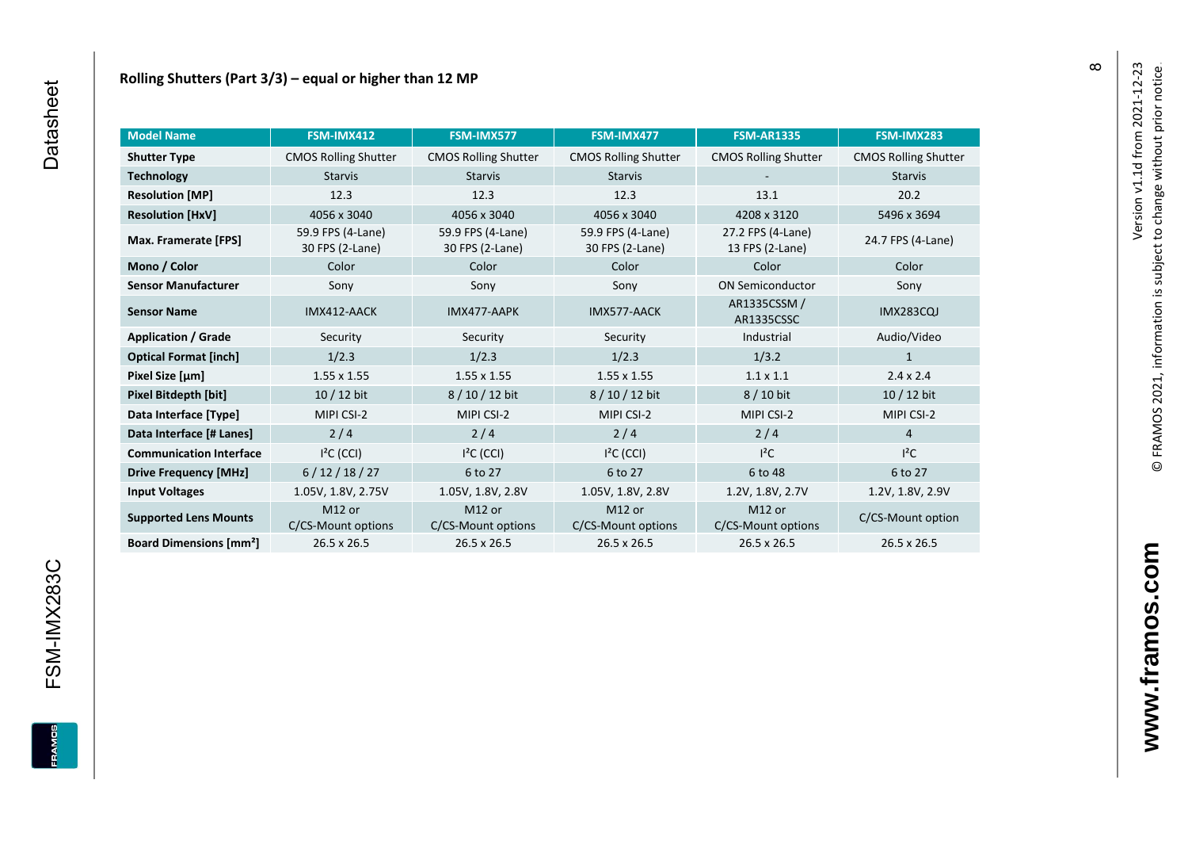| <b>Model Name</b>                        | FSM-IMX412                               | FSM-IMX577                           | FSM-IMX477                           | <b>FSM-AR1335</b>                    | FSM-IMX283                  |
|------------------------------------------|------------------------------------------|--------------------------------------|--------------------------------------|--------------------------------------|-----------------------------|
| <b>Shutter Type</b>                      | <b>CMOS Rolling Shutter</b>              | <b>CMOS Rolling Shutter</b>          | <b>CMOS Rolling Shutter</b>          | <b>CMOS Rolling Shutter</b>          | <b>CMOS Rolling Shutter</b> |
| <b>Technology</b><br><b>Starvis</b>      |                                          | <b>Starvis</b>                       | <b>Starvis</b>                       |                                      | <b>Starvis</b>              |
| <b>Resolution [MP]</b>                   | 12.3                                     | 12.3                                 | 12.3                                 | 13.1                                 | 20.2                        |
| <b>Resolution [HxV]</b>                  | 4056 x 3040                              | 4056 x 3040                          | 4056 x 3040                          | 4208 x 3120                          | 5496 x 3694                 |
| Max. Framerate [FPS]                     | 59.9 FPS (4-Lane)<br>30 FPS (2-Lane)     | 59.9 FPS (4-Lane)<br>30 FPS (2-Lane) | 59.9 FPS (4-Lane)<br>30 FPS (2-Lane) | 27.2 FPS (4-Lane)<br>13 FPS (2-Lane) | 24.7 FPS (4-Lane)           |
| Mono / Color                             | Color                                    | Color                                | Color                                | Color                                | Color                       |
| <b>Sensor Manufacturer</b>               | Sony                                     | Sony                                 | Sony                                 | <b>ON Semiconductor</b>              | Sony                        |
| <b>Sensor Name</b>                       | IMX412-AACK                              | IMX477-AAPK                          | IMX577-AACK                          | AR1335CSSM /<br>AR1335CSSC           | <b>IMX283CQJ</b>            |
| <b>Application / Grade</b>               | Security                                 | Security                             | Security                             | Industrial                           | Audio/Video                 |
| <b>Optical Format [inch]</b>             | 1/2.3                                    | 1/2.3                                | 1/2.3                                | 1/3.2                                | $\mathbf{1}$                |
| Pixel Size [µm]                          | $1.55 \times 1.55$                       | $1.55 \times 1.55$                   | 1.55 x 1.55                          | $1.1 \times 1.1$                     | $2.4 \times 2.4$            |
| Pixel Bitdepth [bit]                     | $10/12$ bit                              | 8/10/12 bit                          | 8/10/12 bit                          | 8 / 10 bit                           | 10 / 12 bit                 |
| Data Interface [Type]                    | MIPI CSI-2                               | MIPI CSI-2                           | MIPI CSI-2                           | MIPI CSI-2                           | MIPI CSI-2                  |
| Data Interface [# Lanes]                 | $2/4$                                    | 2/4                                  | 2/4                                  | 2/4                                  | $\overline{4}$              |
| <b>Communication Interface</b>           | $I2C$ (CCI)                              | $I2C$ (CCI)                          | $I2C$ (CCI)                          | $l^2C$                               | $l^2C$                      |
| <b>Drive Frequency [MHz]</b>             | 6/12/18/27                               | 6 to 27                              | 6 to 27                              | 6 to 48                              | 6 to 27                     |
| <b>Input Voltages</b>                    | 1.05V, 1.8V, 2.75V                       | 1.05V, 1.8V, 2.8V                    | 1.05V, 1.8V, 2.8V                    | 1.2V, 1.8V, 2.7V                     | 1.2V, 1.8V, 2.9V            |
| <b>Supported Lens Mounts</b>             | M <sub>12</sub> or<br>C/CS-Mount options | M12 or<br>C/CS-Mount options         | M12 or<br>C/CS-Mount options         | M12 or<br>C/CS-Mount options         | C/CS-Mount option           |
| <b>Board Dimensions [mm<sup>2</sup>]</b> | 26.5 x 26.5                              | 26.5 x 26.5                          | 26.5 x 26.5                          | 26.5 x 26.5                          | 26.5 x 26.5                 |

 $\infty$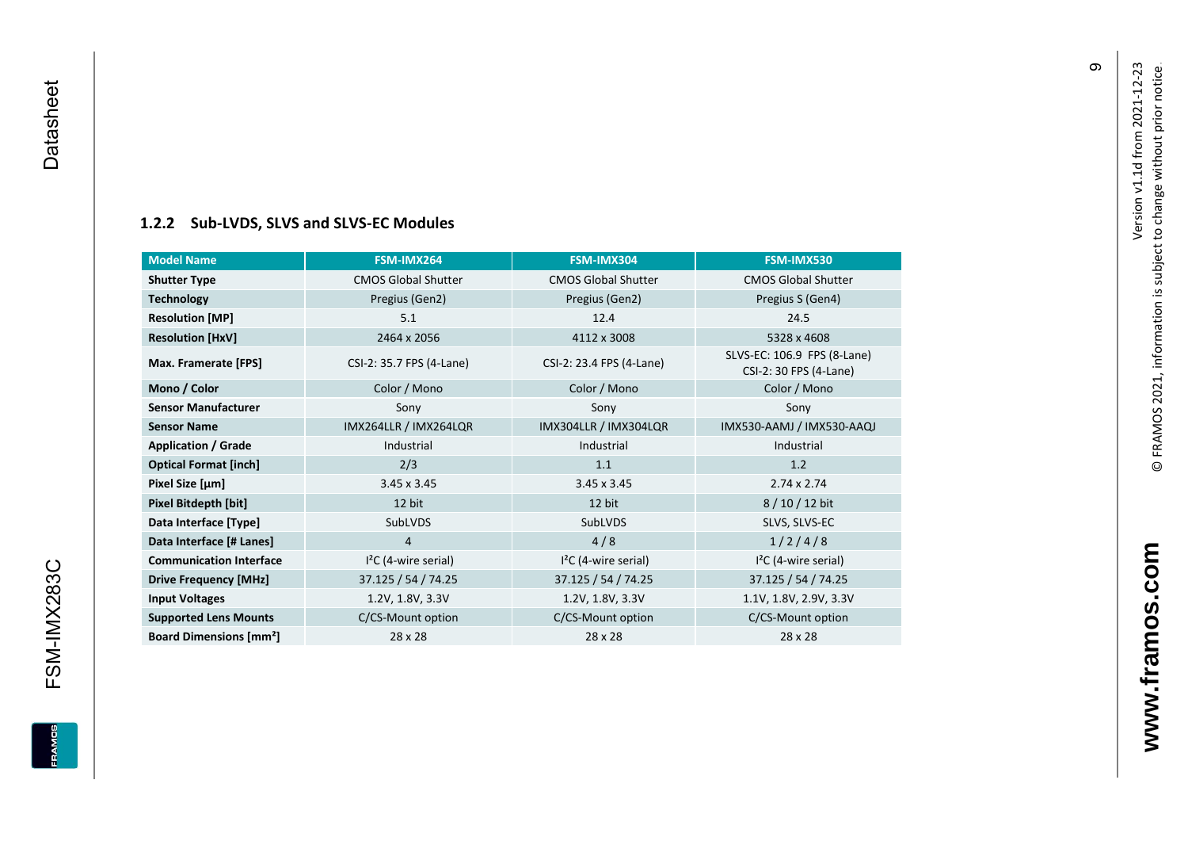### **[1.2.2](#page-0-7) Sub -LVDS, SLVS and SLVS -EC Modules**

<span id="page-10-0"></span>

| <b>Model Name</b>                        | FSM-IMX264                 | FSM-IMX304                 | FSM-IMX530                                            |
|------------------------------------------|----------------------------|----------------------------|-------------------------------------------------------|
| <b>Shutter Type</b>                      | <b>CMOS Global Shutter</b> | <b>CMOS Global Shutter</b> | <b>CMOS Global Shutter</b>                            |
| <b>Technology</b>                        | Pregius (Gen2)             | Pregius (Gen2)             | Pregius S (Gen4)                                      |
| <b>Resolution [MP]</b>                   | 5.1                        | 12.4                       | 24.5                                                  |
| <b>Resolution [HxV]</b>                  | 2464 x 2056                | 4112 x 3008                | 5328 x 4608                                           |
| Max. Framerate [FPS]                     | CSI-2: 35.7 FPS (4-Lane)   | CSI-2: 23.4 FPS (4-Lane)   | SLVS-EC: 106.9 FPS (8-Lane)<br>CSI-2: 30 FPS (4-Lane) |
| Mono / Color                             | Color / Mono               | Color / Mono               | Color / Mono                                          |
| <b>Sensor Manufacturer</b>               | Sony                       | Sony                       | Sony                                                  |
| <b>Sensor Name</b>                       | IMX264LLR / IMX264LQR      | IMX304LLR / IMX304LQR      | IMX530-AAMJ / IMX530-AAQJ                             |
| <b>Application / Grade</b>               | Industrial                 | Industrial                 | Industrial                                            |
| <b>Optical Format [inch]</b>             | 2/3                        | 1.1                        | 1.2                                                   |
| Pixel Size [µm]                          | $3.45 \times 3.45$         | $3.45 \times 3.45$         | $2.74 \times 2.74$                                    |
| Pixel Bitdepth [bit]                     | 12 bit                     | 12 bit                     | $8/10/12$ bit                                         |
| Data Interface [Type]                    | SubLVDS                    | SubLVDS                    | SLVS, SLVS-EC                                         |
| Data Interface [# Lanes]                 | 4                          | 4/8                        | 1/2/4/8                                               |
| <b>Communication Interface</b>           | $I2C$ (4-wire serial)      | $I2C$ (4-wire serial)      | $I2C$ (4-wire serial)                                 |
| <b>Drive Frequency [MHz]</b>             | 37.125 / 54 / 74.25        | 37.125 / 54 / 74.25        | 37.125 / 54 / 74.25                                   |
| <b>Input Voltages</b>                    | 1.2V, 1.8V, 3.3V           | 1.2V, 1.8V, 3.3V           | 1.1V, 1.8V, 2.9V, 3.3V                                |
| <b>Supported Lens Mounts</b>             | C/CS-Mount option          | C/CS-Mount option          | C/CS-Mount option                                     |
| <b>Board Dimensions [mm<sup>2</sup>]</b> | 28 x 28                    | 28 x 28                    | 28 x 28                                               |

თ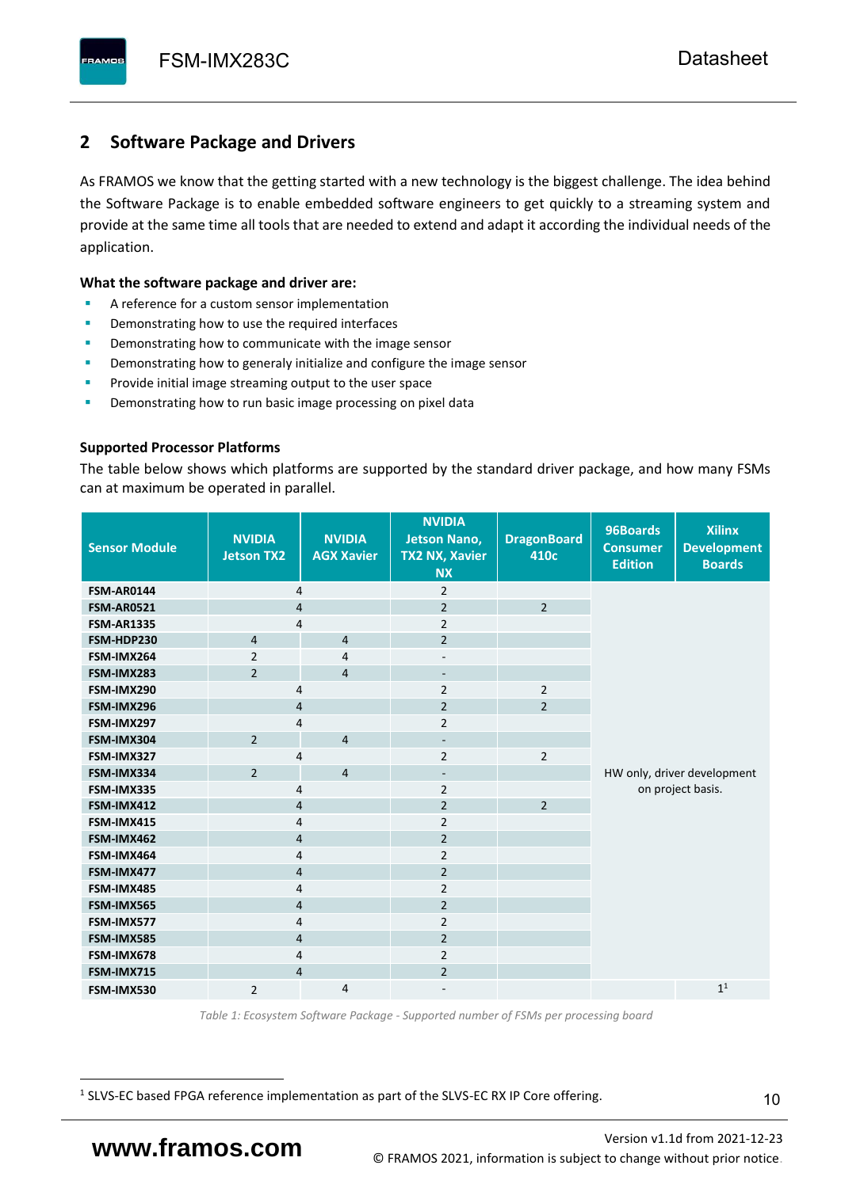# <span id="page-11-0"></span>**2 Software Package and Drivers**

As FRAMOS we know that the getting started with a new technology is the biggest challenge. The idea behind the Software Package is to enable embedded software engineers to get quickly to a streaming system and provide at the same time all tools that are needed to extend and adapt it according the individual needs of the application.

#### **What the software package and driver are:**

- A reference for a custom sensor implementation
- Demonstrating how to use the required interfaces
- Demonstrating how to communicate with the image sensor
- Demonstrating how to generaly initialize and configure the image sensor
- Provide initial image streaming output to the user space
- Demonstrating how to run basic image processing on pixel data

#### **Supported Processor Platforms**

The table below shows which platforms are supported by the standard driver package, and how many FSMs can at maximum be operated in parallel.

| <b>Sensor Module</b> | <b>NVIDIA</b><br><b>Jetson TX2</b> | <b>NVIDIA</b><br><b>AGX Xavier</b> | <b>NVIDIA</b><br><b>Jetson Nano,</b><br><b>TX2 NX, Xavier</b><br><b>NX</b> | <b>DragonBoard</b><br>410c | 96Boards<br><b>Consumer</b><br><b>Edition</b> | <b>Xilinx</b><br><b>Development</b><br><b>Boards</b> |  |
|----------------------|------------------------------------|------------------------------------|----------------------------------------------------------------------------|----------------------------|-----------------------------------------------|------------------------------------------------------|--|
| <b>FSM-AR0144</b>    | 4                                  |                                    | $\overline{2}$                                                             |                            |                                               |                                                      |  |
| <b>FSM-AR0521</b>    | $\overline{4}$                     |                                    | $\overline{2}$                                                             | $\overline{2}$             |                                               |                                                      |  |
| <b>FSM-AR1335</b>    | 4                                  |                                    | $\overline{2}$                                                             |                            |                                               |                                                      |  |
| FSM-HDP230           | $\overline{4}$                     | $\overline{4}$                     | $\overline{2}$                                                             |                            |                                               |                                                      |  |
| FSM-IMX264           | $\overline{2}$                     | $\overline{4}$                     | $\overline{\phantom{a}}$                                                   |                            |                                               |                                                      |  |
| FSM-IMX283           | $\overline{2}$                     | $\overline{4}$                     | $\overline{\phantom{a}}$                                                   |                            |                                               |                                                      |  |
| FSM-IMX290           | 4                                  |                                    | $\overline{2}$                                                             | $\overline{2}$             |                                               |                                                      |  |
| FSM-IMX296           | 4                                  |                                    | $\overline{2}$                                                             | $\overline{2}$             |                                               |                                                      |  |
| FSM-IMX297           | 4                                  |                                    | $\overline{2}$                                                             |                            |                                               |                                                      |  |
| FSM-IMX304           | $\overline{2}$                     | $\overline{4}$                     | $\overline{\phantom{a}}$                                                   |                            |                                               |                                                      |  |
| FSM-IMX327           | 4                                  |                                    | $\overline{2}$                                                             | $\overline{2}$             |                                               |                                                      |  |
| FSM-IMX334           | $\overline{2}$                     | $\overline{4}$                     | $\overline{\phantom{a}}$                                                   |                            | HW only, driver development                   |                                                      |  |
| FSM-IMX335           | 4                                  |                                    | $\overline{2}$                                                             |                            |                                               | on project basis.                                    |  |
| FSM-IMX412           | $\overline{4}$                     |                                    | $\overline{2}$                                                             | $\overline{2}$             |                                               |                                                      |  |
| FSM-IMX415           | 4                                  |                                    | $\overline{2}$                                                             |                            |                                               |                                                      |  |
| FSM-IMX462           | $\overline{\mathbf{4}}$            |                                    | $\overline{2}$                                                             |                            |                                               |                                                      |  |
| FSM-IMX464           | $\overline{4}$                     |                                    | $\overline{2}$                                                             |                            |                                               |                                                      |  |
| FSM-IMX477           | $\overline{4}$                     |                                    | $\overline{2}$                                                             |                            |                                               |                                                      |  |
| FSM-IMX485           | $\overline{4}$                     |                                    | $\overline{2}$                                                             |                            |                                               |                                                      |  |
| FSM-IMX565           | $\overline{4}$                     |                                    | $\overline{2}$                                                             |                            |                                               |                                                      |  |
| FSM-IMX577           | $\overline{4}$                     |                                    | $\overline{2}$                                                             |                            |                                               |                                                      |  |
| FSM-IMX585           | $\overline{4}$                     |                                    | $\overline{2}$                                                             |                            |                                               |                                                      |  |
| FSM-IMX678           | 4                                  |                                    | $\overline{2}$                                                             |                            |                                               |                                                      |  |
| FSM-IMX715           | $\overline{4}$                     |                                    | $\overline{2}$                                                             |                            |                                               |                                                      |  |
| FSM-IMX530           | $\overline{2}$                     | $\overline{4}$                     |                                                                            |                            |                                               | 1 <sup>1</sup>                                       |  |

*Table 1: Ecosystem Software Package - Supported number of FSMs per processing board*

<sup>1</sup> SLVS-EC based FPGA reference implementation as part of the SLVS-EC RX IP Core offering.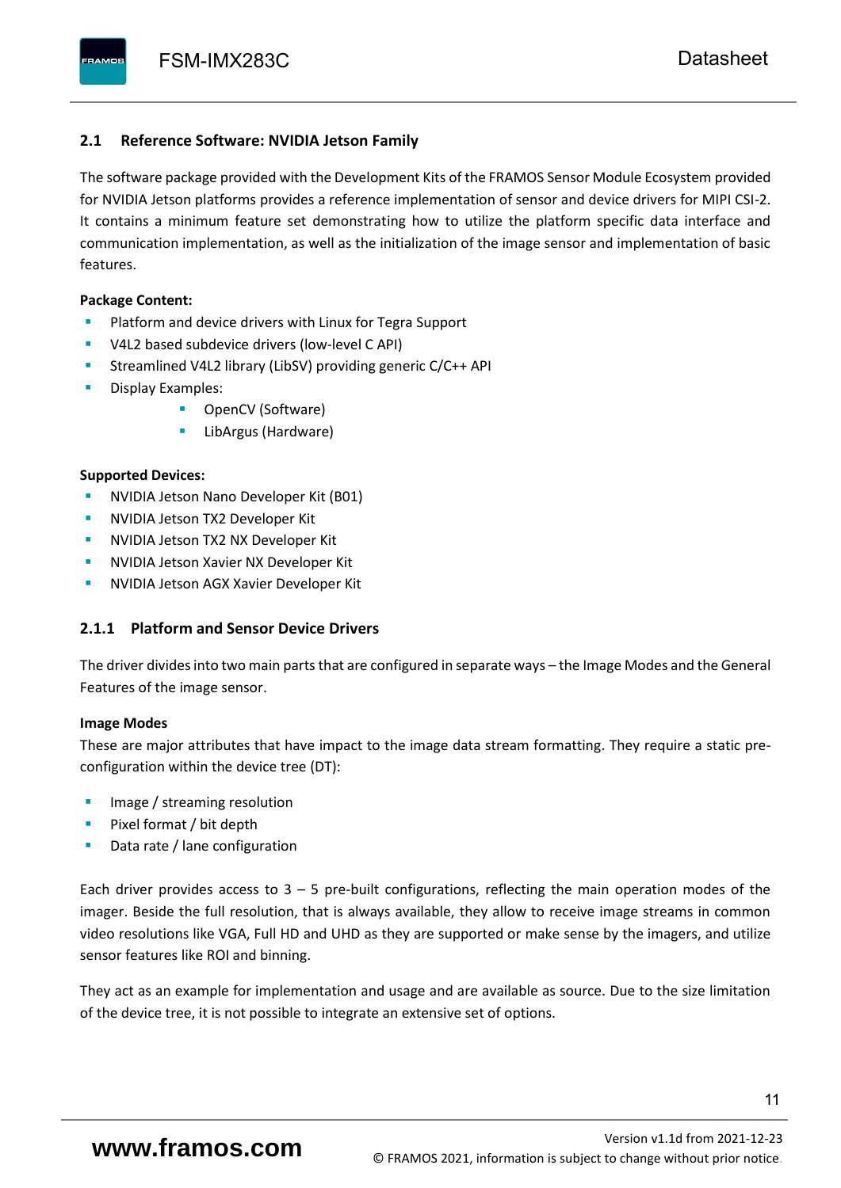### <span id="page-12-0"></span>**2.1 Reference Software: NVIDIA Jetson Family**

The software package provided with the Development Kits of the FRAMOS Sensor Module Ecosystem provided for NVIDIA Jetson platforms provides a reference implementation of sensor and device drivers for MIPI CSI-2. It contains a minimum feature set demonstrating how to utilize the platform specific data interface and communication implementation, as well as the initialization of the image sensor and implementation of basic features.

#### **Package Content:**

- Platform and device drivers with Linux for Tegra Support
- V4L2 based subdevice drivers (low-level C API)
- Streamlined V4L2 library (LibSV) providing generic C/C++ API
- Display Examples:
	- OpenCV (Software)
	- LibArgus (Hardware)

#### **Supported Devices:**

- **NVIDIA Jetson Nano Developer Kit (B01)**
- **NVIDIA Jetson TX2 Developer Kit**
- NVIDIA Jetson TX2 NX Developer Kit
- **NVIDIA Jetson Xavier NX Developer Kit**
- **NVIDIA Jetson AGX Xavier Developer Kit**

## <span id="page-12-1"></span>**2.1.1 Platform and Sensor Device Drivers**

The driver divides into two main parts that are configured in separate ways – the Image Modes and the General Features of the image sensor.

#### **Image Modes**

These are major attributes that have impact to the image data stream formatting. They require a static preconfiguration within the device tree (DT):

- Image / streaming resolution
- Pixel format / bit depth
- Data rate / lane configuration

Each driver provides access to  $3 - 5$  pre-built configurations, reflecting the main operation modes of the imager. Beside the full resolution, that is always available, they allow to receive image streams in common video resolutions like VGA, Full HD and UHD as they are supported or make sense by the imagers, and utilize sensor features like ROI and binning.

They act as an example for implementation and usage and are available as source. Due to the size limitation of the device tree, it is not possible to integrate an extensive set of options.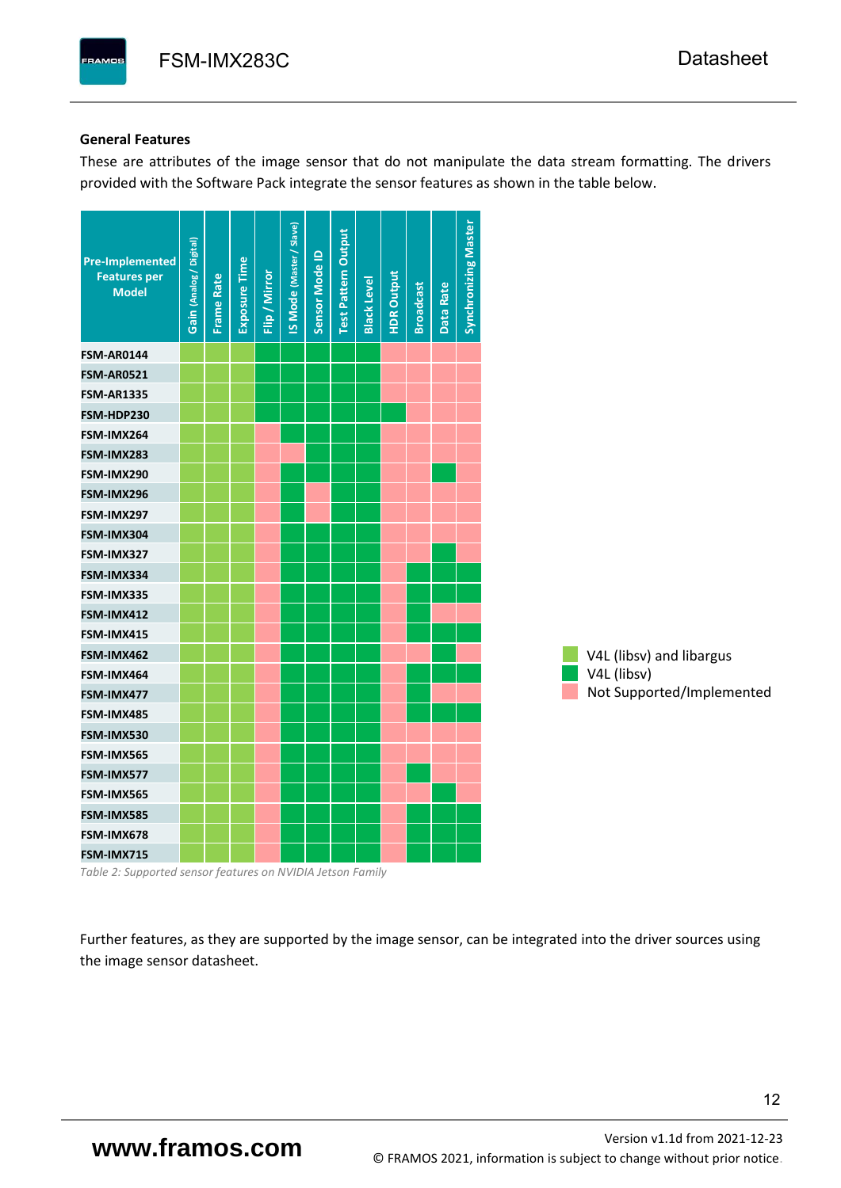#### **General Features**

These are attributes of the image sensor that do not manipulate the data stream formatting. The drivers provided with the Software Pack integrate the sensor features as shown in the table below.

| <b>Pre-Implemented</b><br><b>Features per</b><br><b>Model</b> | Gain (Analog / Digital) | <b>Frame Rate</b> | Exposure Time | Flip / Mirror | <b>IS Mode (Master / Slave)</b> | Sensor Mode ID | <b>Test Pattern Output</b> | <b>Black Level</b> | <b>HDR Output</b> | <b>Broadcast</b> | Data Rate | <b>Synchronizing Master</b> |                           |
|---------------------------------------------------------------|-------------------------|-------------------|---------------|---------------|---------------------------------|----------------|----------------------------|--------------------|-------------------|------------------|-----------|-----------------------------|---------------------------|
| <b>FSM-AR0144</b>                                             |                         |                   |               |               |                                 |                |                            |                    |                   |                  |           |                             |                           |
| <b>FSM-AR0521</b>                                             |                         |                   |               |               |                                 |                |                            |                    |                   |                  |           |                             |                           |
| <b>FSM-AR1335</b>                                             |                         |                   |               |               |                                 |                |                            |                    |                   |                  |           |                             |                           |
| FSM-HDP230                                                    |                         |                   |               |               |                                 |                |                            |                    |                   |                  |           |                             |                           |
| FSM-IMX264                                                    |                         |                   |               |               |                                 |                |                            |                    |                   |                  |           |                             |                           |
| FSM-IMX283                                                    |                         |                   |               |               |                                 |                |                            |                    |                   |                  |           |                             |                           |
| FSM-IMX290                                                    |                         |                   |               |               |                                 |                |                            |                    |                   |                  |           |                             |                           |
| FSM-IMX296                                                    |                         |                   |               |               |                                 |                |                            |                    |                   |                  |           |                             |                           |
| FSM-IMX297                                                    |                         |                   |               |               |                                 |                |                            |                    |                   |                  |           |                             |                           |
| FSM-IMX304                                                    |                         |                   |               |               |                                 |                |                            |                    |                   |                  |           |                             |                           |
| FSM-IMX327                                                    |                         |                   |               |               |                                 |                |                            |                    |                   |                  |           |                             |                           |
| FSM-IMX334                                                    |                         |                   |               |               |                                 |                |                            |                    |                   |                  |           |                             |                           |
| FSM-IMX335                                                    |                         |                   |               |               |                                 |                |                            |                    |                   |                  |           |                             |                           |
| FSM-IMX412                                                    |                         |                   |               |               |                                 |                |                            |                    |                   |                  |           |                             |                           |
| FSM-IMX415                                                    |                         |                   |               |               |                                 |                |                            |                    |                   |                  |           |                             |                           |
| FSM-IMX462                                                    |                         |                   |               |               |                                 |                |                            |                    |                   |                  |           |                             | V4L (libsv) and libargus  |
| FSM-IMX464                                                    |                         |                   |               |               |                                 |                |                            |                    |                   |                  |           |                             | V4L (libsv)               |
| FSM-IMX477                                                    |                         |                   |               |               |                                 |                |                            |                    |                   |                  |           |                             | Not Supported/Implemented |
| FSM-IMX485                                                    |                         |                   |               |               |                                 |                |                            |                    |                   |                  |           |                             |                           |
| FSM-IMX530                                                    |                         |                   |               |               |                                 |                |                            |                    |                   |                  |           |                             |                           |
| FSM-IMX565                                                    |                         |                   |               |               |                                 |                |                            |                    |                   |                  |           |                             |                           |
| FSM-IMX577                                                    |                         |                   |               |               |                                 |                |                            |                    |                   |                  |           |                             |                           |
| FSM-IMX565                                                    |                         |                   |               |               |                                 |                |                            |                    |                   |                  |           |                             |                           |
| FSM-IMX585                                                    |                         |                   |               |               |                                 |                |                            |                    |                   |                  |           |                             |                           |
| FSM-IMX678                                                    |                         |                   |               |               |                                 |                |                            |                    |                   |                  |           |                             |                           |
| FSM-IMX715                                                    |                         |                   |               |               |                                 |                |                            |                    |                   |                  |           |                             |                           |

*Table 2: Supported sensor features on NVIDIA Jetson Family*

Further features, as they are supported by the image sensor, can be integrated into the driver sources using the image sensor datasheet.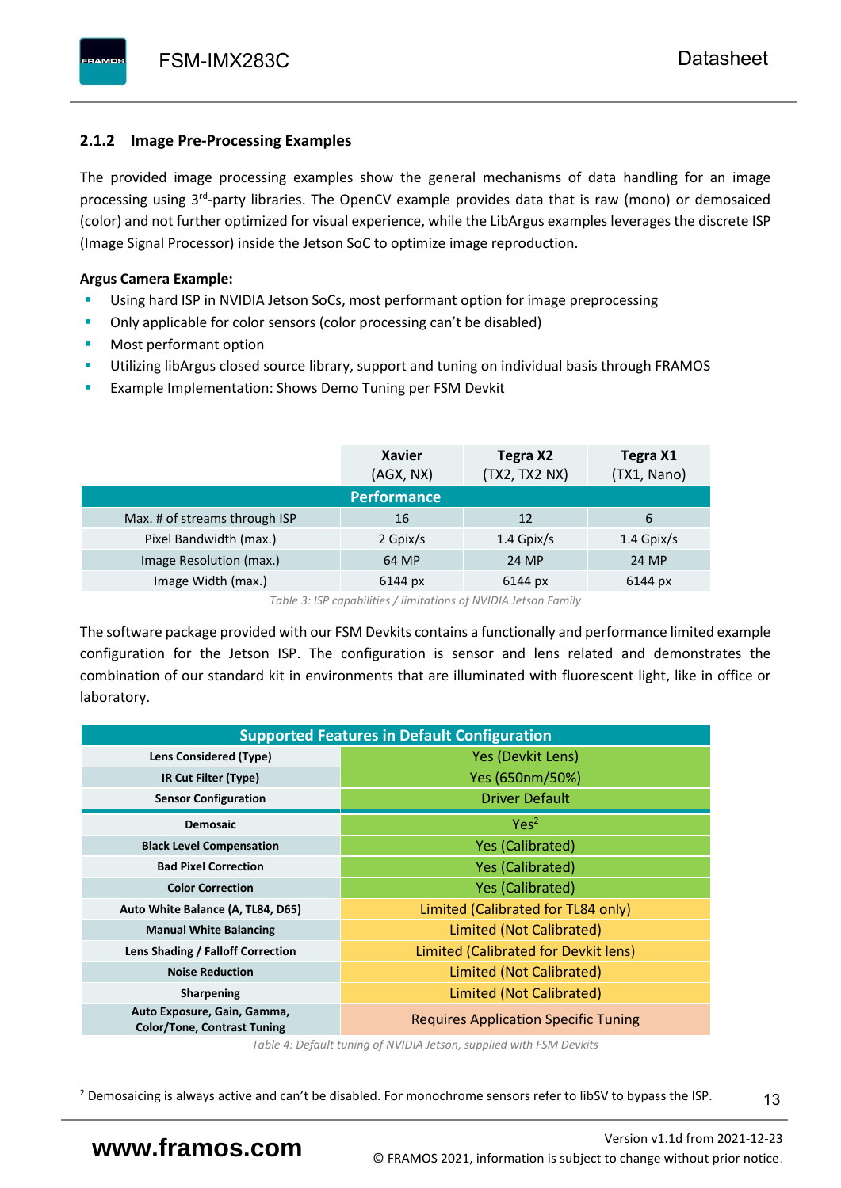# <span id="page-14-0"></span>**2.1.2 Image Pre-Processing Examples**

The provided image processing examples show the general mechanisms of data handling for an image processing using 3<sup>rd</sup>-party libraries. The OpenCV example provides data that is raw (mono) or demosaiced (color) and not further optimized for visual experience, while the LibArgus examples leverages the discrete ISP (Image Signal Processor) inside the Jetson SoC to optimize image reproduction.

# **Argus Camera Example:**

- Using hard ISP in NVIDIA Jetson SoCs, most performant option for image preprocessing
- Only applicable for color sensors (color processing can't be disabled)
- Most performant option
- Utilizing libArgus closed source library, support and tuning on individual basis through FRAMOS
- Example Implementation: Shows Demo Tuning per FSM Devkit

|                               | <b>Xavier</b><br>(AGX, NX) | Tegra X2<br>(TX2, TX2 NX) | Tegra X1<br>(TX1, Nano) |
|-------------------------------|----------------------------|---------------------------|-------------------------|
|                               | <b>Performance</b>         |                           |                         |
| Max. # of streams through ISP | 16                         | 12                        | 6                       |
| Pixel Bandwidth (max.)        | 2 Gpix/s                   | $1.4$ Gpix/s              | $1.4$ Gpix/s            |
| Image Resolution (max.)       | 64 MP                      | 24 MP                     | 24 MP                   |
| Image Width (max.)            | 6144 px                    | 6144 px                   | 6144 px                 |

*Table 3: ISP capabilities / limitations of NVIDIA Jetson Family*

The software package provided with our FSM Devkits contains a functionally and performance limited example configuration for the Jetson ISP. The configuration is sensor and lens related and demonstrates the combination of our standard kit in environments that are illuminated with fluorescent light, like in office or laboratory.

| <b>Supported Features in Default Configuration</b>                |                                             |  |  |  |  |  |  |
|-------------------------------------------------------------------|---------------------------------------------|--|--|--|--|--|--|
| Lens Considered (Type)                                            | Yes (Devkit Lens)                           |  |  |  |  |  |  |
| IR Cut Filter (Type)                                              | Yes (650nm/50%)                             |  |  |  |  |  |  |
| <b>Sensor Configuration</b>                                       | <b>Driver Default</b>                       |  |  |  |  |  |  |
| <b>Demosaic</b>                                                   | Yes <sup>2</sup>                            |  |  |  |  |  |  |
| <b>Black Level Compensation</b>                                   | <b>Yes (Calibrated)</b>                     |  |  |  |  |  |  |
| <b>Bad Pixel Correction</b>                                       | <b>Yes (Calibrated)</b>                     |  |  |  |  |  |  |
| <b>Color Correction</b>                                           | <b>Yes (Calibrated)</b>                     |  |  |  |  |  |  |
| Auto White Balance (A, TL84, D65)                                 | Limited (Calibrated for TL84 only)          |  |  |  |  |  |  |
| <b>Manual White Balancing</b>                                     | Limited (Not Calibrated)                    |  |  |  |  |  |  |
| Lens Shading / Falloff Correction                                 | Limited (Calibrated for Devkit lens)        |  |  |  |  |  |  |
| <b>Noise Reduction</b>                                            | Limited (Not Calibrated)                    |  |  |  |  |  |  |
| <b>Sharpening</b>                                                 | Limited (Not Calibrated)                    |  |  |  |  |  |  |
| Auto Exposure, Gain, Gamma,<br><b>Color/Tone, Contrast Tuning</b> | <b>Requires Application Specific Tuning</b> |  |  |  |  |  |  |

*Table 4: Default tuning of NVIDIA Jetson, supplied with FSM Devkits*

<sup>&</sup>lt;sup>2</sup> Demosaicing is always active and can't be disabled. For monochrome sensors refer to libSV to bypass the ISP.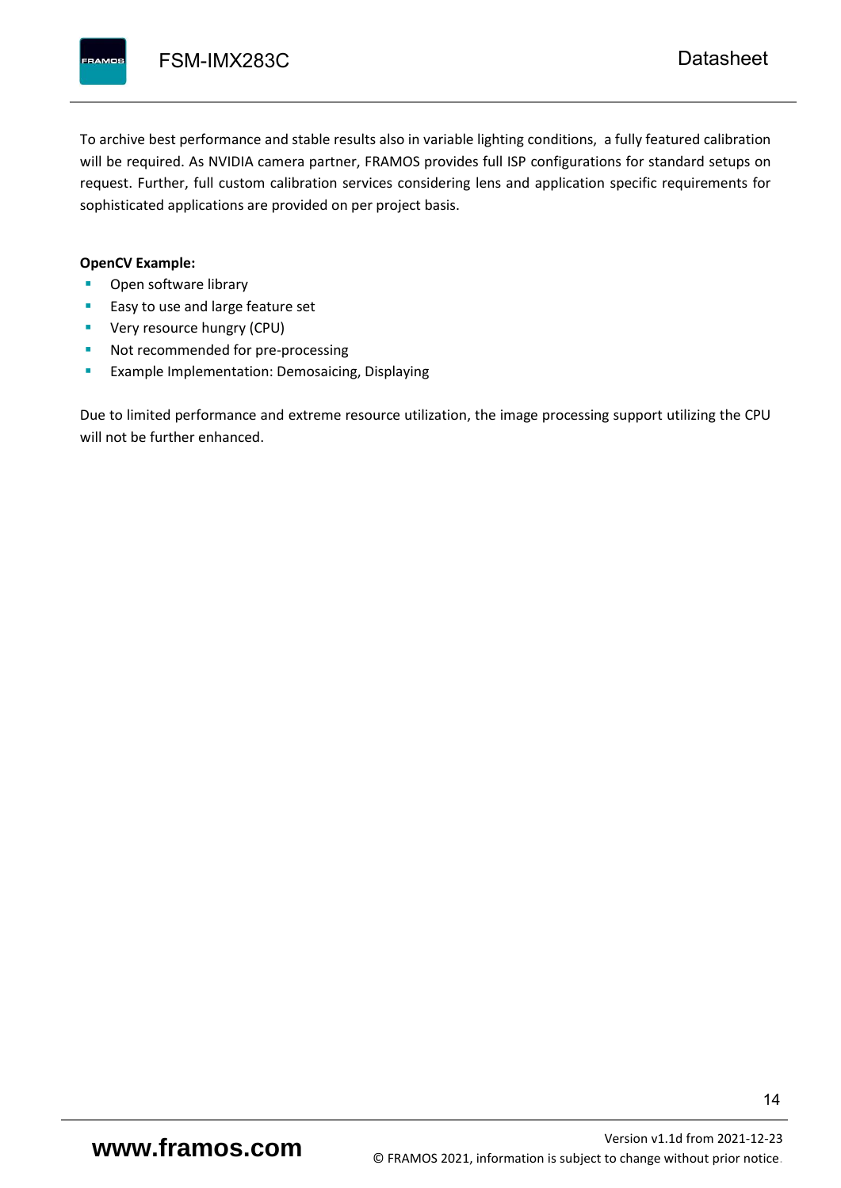To archive best performance and stable results also in variable lighting conditions, a fully featured calibration will be required. As NVIDIA camera partner, FRAMOS provides full ISP configurations for standard setups on request. Further, full custom calibration services considering lens and application specific requirements for sophisticated applications are provided on per project basis.

#### **OpenCV Example:**

- Open software library
- Easy to use and large feature set
- **•** Very resource hungry (CPU)
- Not recommended for pre-processing
- **Example Implementation: Demosaicing, Displaying**

Due to limited performance and extreme resource utilization, the image processing support utilizing the CPU will not be further enhanced.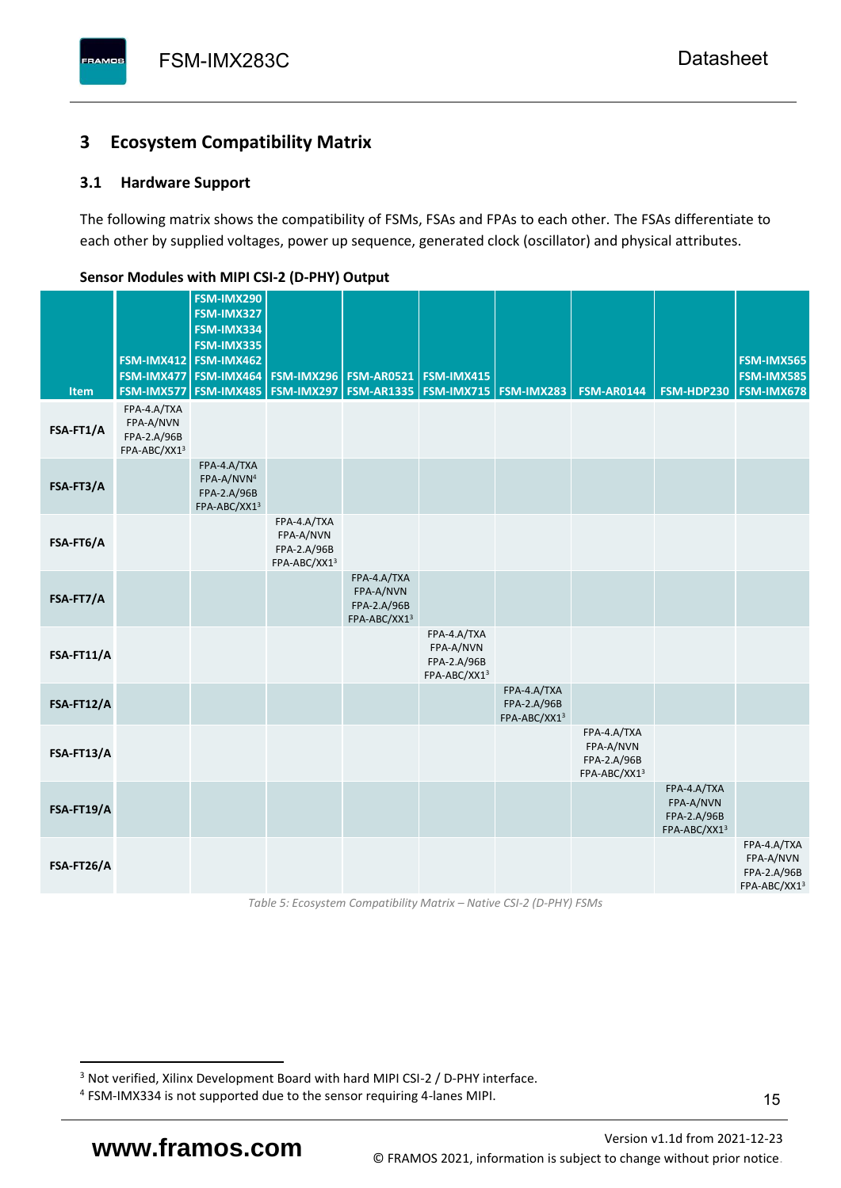# <span id="page-16-0"></span>**3 Ecosystem Compatibility Matrix**

# <span id="page-16-1"></span>**3.1 Hardware Support**

The following matrix shows the compatibility of FSMs, FSAs and FPAs to each other. The FSAs differentiate to each other by supplied voltages, power up sequence, generated clock (oscillator) and physical attributes.

| <b>Item</b> | FSM-IMX477<br>FSM-IMX577                                | FSM-IMX290<br>FSM-IMX327<br>FSM-IMX334<br>FSM-IMX335<br>FSM-IMX412 FSM-IMX462<br>FSM-IMX464<br><b>FSM-IMX485</b> | <b>FSM-IMX296</b><br>FSM-IMX297                         | <b>FSM-AR0521</b><br><b>FSM-AR1335</b>                  | FSM-IMX415<br><b>FSM-IMX715 FSM-IMX283</b>              |                                            | <b>FSM-AR0144</b>                                       | FSM-HDP230                                              | FSM-IMX565<br>FSM-IMX585<br>FSM-IMX678                  |
|-------------|---------------------------------------------------------|------------------------------------------------------------------------------------------------------------------|---------------------------------------------------------|---------------------------------------------------------|---------------------------------------------------------|--------------------------------------------|---------------------------------------------------------|---------------------------------------------------------|---------------------------------------------------------|
| FSA-FT1/A   | FPA-4.A/TXA<br>FPA-A/NVN<br>FPA-2.A/96B<br>FPA-ABC/XX13 |                                                                                                                  |                                                         |                                                         |                                                         |                                            |                                                         |                                                         |                                                         |
| FSA-FT3/A   |                                                         | FPA-4.A/TXA<br>FPA-A/NVN <sup>4</sup><br>FPA-2.A/96B<br>FPA-ABC/XX13                                             |                                                         |                                                         |                                                         |                                            |                                                         |                                                         |                                                         |
| FSA-FT6/A   |                                                         |                                                                                                                  | FPA-4.A/TXA<br>FPA-A/NVN<br>FPA-2.A/96B<br>FPA-ABC/XX13 |                                                         |                                                         |                                            |                                                         |                                                         |                                                         |
| FSA-FT7/A   |                                                         |                                                                                                                  |                                                         | FPA-4.A/TXA<br>FPA-A/NVN<br>FPA-2.A/96B<br>FPA-ABC/XX13 |                                                         |                                            |                                                         |                                                         |                                                         |
| FSA-FT11/A  |                                                         |                                                                                                                  |                                                         |                                                         | FPA-4.A/TXA<br>FPA-A/NVN<br>FPA-2.A/96B<br>FPA-ABC/XX13 |                                            |                                                         |                                                         |                                                         |
| FSA-FT12/A  |                                                         |                                                                                                                  |                                                         |                                                         |                                                         | FPA-4.A/TXA<br>FPA-2.A/96B<br>FPA-ABC/XX13 |                                                         |                                                         |                                                         |
| FSA-FT13/A  |                                                         |                                                                                                                  |                                                         |                                                         |                                                         |                                            | FPA-4.A/TXA<br>FPA-A/NVN<br>FPA-2.A/96B<br>FPA-ABC/XX13 |                                                         |                                                         |
| FSA-FT19/A  |                                                         |                                                                                                                  |                                                         |                                                         |                                                         |                                            |                                                         | FPA-4.A/TXA<br>FPA-A/NVN<br>FPA-2.A/96B<br>FPA-ABC/XX13 |                                                         |
| FSA-FT26/A  |                                                         |                                                                                                                  |                                                         |                                                         |                                                         |                                            |                                                         |                                                         | FPA-4.A/TXA<br>FPA-A/NVN<br>FPA-2.A/96B<br>FPA-ABC/XX13 |

### <span id="page-16-2"></span>**Sensor Modules with MIPI CSI-2 (D-PHY) Output**

*Table 5: Ecosystem Compatibility Matrix – Native CSI-2 (D-PHY) FSMs*

<sup>&</sup>lt;sup>3</sup> Not verified, Xilinx Development Board with hard MIPI CSI-2 / D-PHY interface.

<sup>4</sup> FSM-IMX334 is not supported due to the sensor requiring 4-lanes MIPI.